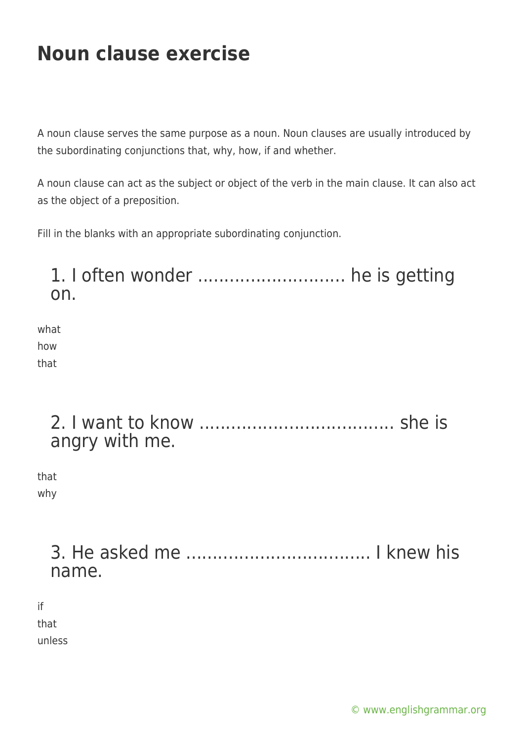A noun clause serves the same purpose as a noun. Noun clauses are usually introduced by the subordinating conjunctions that, why, how, if and whether.

A noun clause can act as the subject or object of the verb in the main clause. It can also act as the object of a preposition.

Fill in the blanks with an appropriate subordinating conjunction.

### 1. I often wonder ............................ he is getting on.

what how that

### 2. I want to know ..................................... she is angry with me.

that why

> 3. He asked me ................................... I knew his name.

if

that

unless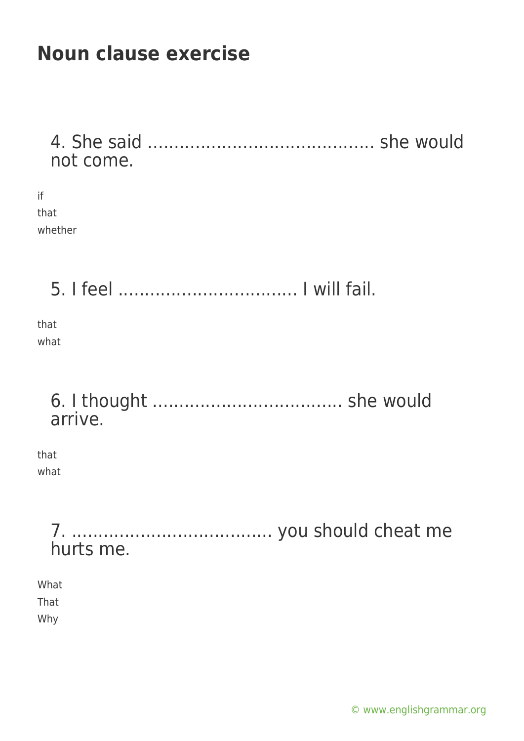4. She said ........................................... she would not come.

| ïf      |
|---------|
| that    |
| whether |

5. I feel .................................. I will fail.

that what

> 6. I thought .................................... she would arrive.

that what

> 7. ...................................... you should cheat me hurts me.

What That

Why

[© www.englishgrammar.org](https://www.englishgrammar.org/)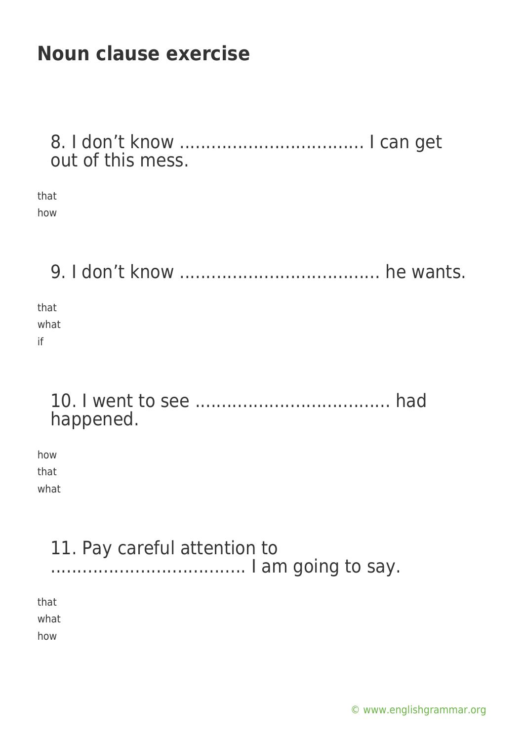8. I don't know ................................... I can get out of this mess.

that how

9. I don't know ...................................... he wants.

that what if

### 10. I went to see ..................................... had happened.

how that what

# 11. Pay careful attention to ..................................... I am going to say.

that

what

how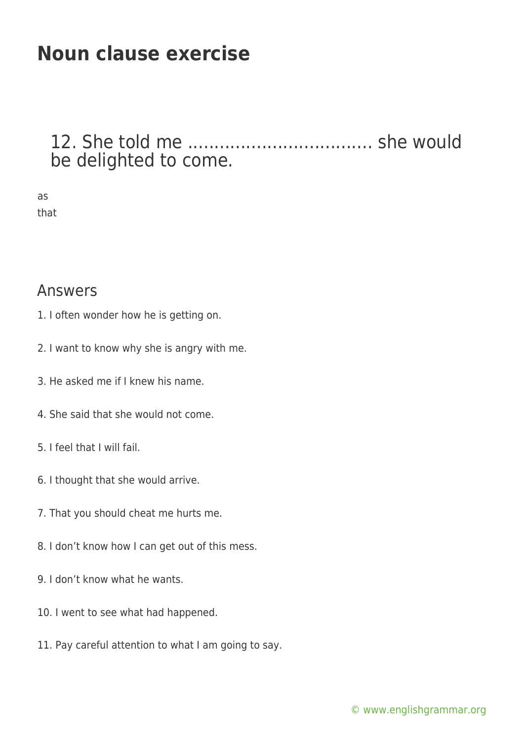### 12. She told me ................................... she would be delighted to come.

as that

#### Answers

- 1. I often wonder how he is getting on.
- 2. I want to know why she is angry with me.
- 3. He asked me if I knew his name.
- 4. She said that she would not come.
- 5. I feel that I will fail.
- 6. I thought that she would arrive.
- 7. That you should cheat me hurts me.
- 8. I don't know how I can get out of this mess.
- 9. I don't know what he wants.
- 10. I went to see what had happened.
- 11. Pay careful attention to what I am going to say.